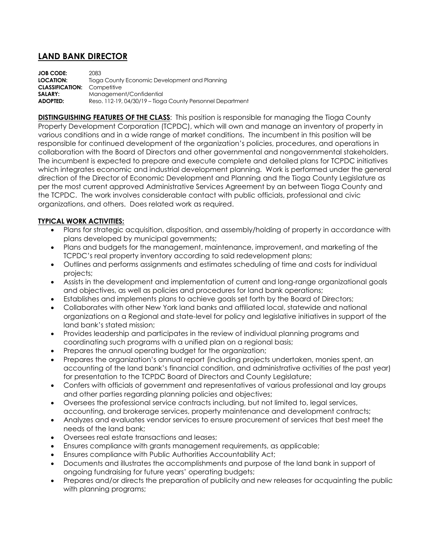## **LAND BANK DIRECTOR**

**JOB CODE:** 2083 **LOCATION:** Tioga County Economic Development and Planning **CLASSIFICATION:** Competitive **SALARY:** Management/Confidential **ADOPTED:** Reso. 112-19, 04/30/19 – Tioga County Personnel Department

**DISTINGUISHING FEATURES OF THE CLASS**: This position is responsible for managing the Tioga County Property Development Corporation (TCPDC), which will own and manage an inventory of property in various conditions and in a wide range of market conditions. The incumbent in this position will be responsible for continued development of the organization's policies, procedures, and operations in collaboration with the Board of Directors and other governmental and nongovernmental stakeholders. The incumbent is expected to prepare and execute complete and detailed plans for TCPDC initiatives which integrates economic and industrial development planning. Work is performed under the general direction of the Director of Economic Development and Planning and the Tioga County Legislature as per the most current approved Administrative Services Agreement by an between Tioga County and the TCPDC. The work involves considerable contact with public officials, professional and civic organizations, and others. Does related work as required.

## **TYPICAL WORK ACTIVITIES:**

- Plans for strategic acquisition, disposition, and assembly/holding of property in accordance with plans developed by municipal governments;
- Plans and budgets for the management, maintenance, improvement, and marketing of the TCPDC's real property inventory according to said redevelopment plans;
- Outlines and performs assignments and estimates scheduling of time and costs for individual projects;
- Assists in the development and implementation of current and long-range organizational goals and objectives, as well as policies and procedures for land bank operations;
- Establishes and implements plans to achieve goals set forth by the Board of Directors;
- Collaborates with other New York land banks and affiliated local, statewide and national organizations on a Regional and state-level for policy and legislative initiatives in support of the land bank's stated mission;
- Provides leadership and participates in the review of individual planning programs and coordinating such programs with a unified plan on a regional basis;
- Prepares the annual operating budget for the organization;
- Prepares the organization's annual report (including projects undertaken, monies spent, an accounting of the land bank's financial condition, and administrative activities of the past year) for presentation to the TCPDC Board of Directors and County Legislature;
- Confers with officials of government and representatives of various professional and lay groups and other parties regarding planning policies and objectives;
- Oversees the professional service contracts including, but not limited to, legal services, accounting, and brokerage services, property maintenance and development contracts;
- Analyzes and evaluates vendor services to ensure procurement of services that best meet the needs of the land bank;
- Oversees real estate transactions and leases;
- Ensures compliance with grants management requirements, as applicable;
- Ensures compliance with Public Authorities Accountability Act;
- Documents and illustrates the accomplishments and purpose of the land bank in support of ongoing fundraising for future years' operating budgets;
- Prepares and/or directs the preparation of publicity and new releases for acquainting the public with planning programs;